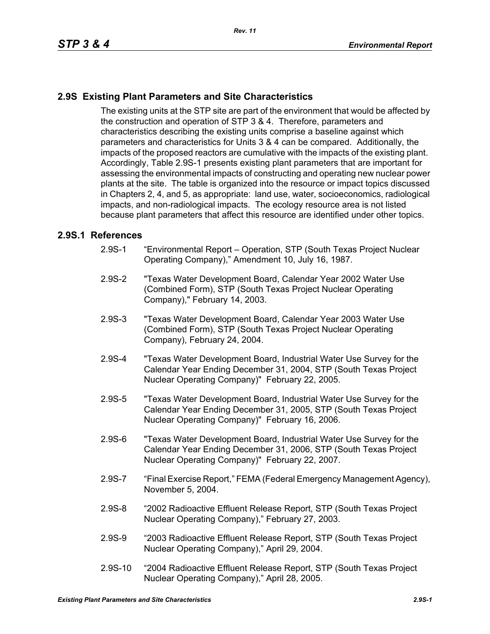## **2.9S Existing Plant Parameters and Site Characteristics**

The existing units at the STP site are part of the environment that would be affected by the construction and operation of STP 3 & 4. Therefore, parameters and characteristics describing the existing units comprise a baseline against which parameters and characteristics for Units 3 & 4 can be compared. Additionally, the impacts of the proposed reactors are cumulative with the impacts of the existing plant. Accordingly, Table 2.9S-1 presents existing plant parameters that are important for assessing the environmental impacts of constructing and operating new nuclear power plants at the site. The table is organized into the resource or impact topics discussed in Chapters 2, 4, and 5, as appropriate: land use, water, socioeconomics, radiological impacts, and non-radiological impacts. The ecology resource area is not listed because plant parameters that affect this resource are identified under other topics.

## **2.9S.1 References**

- 2.9S-1 "Environmental Report Operation, STP (South Texas Project Nuclear Operating Company)," Amendment 10, July 16, 1987.
- 2.9S-2 "Texas Water Development Board, Calendar Year 2002 Water Use (Combined Form), STP (South Texas Project Nuclear Operating Company)," February 14, 2003.
- 2.9S-3 "Texas Water Development Board, Calendar Year 2003 Water Use (Combined Form), STP (South Texas Project Nuclear Operating Company), February 24, 2004.
- 2.9S-4 "Texas Water Development Board, Industrial Water Use Survey for the Calendar Year Ending December 31, 2004, STP (South Texas Project Nuclear Operating Company)" February 22, 2005.
- 2.9S-5 "Texas Water Development Board, Industrial Water Use Survey for the Calendar Year Ending December 31, 2005, STP (South Texas Project Nuclear Operating Company)" February 16, 2006.
- 2.9S-6 "Texas Water Development Board, Industrial Water Use Survey for the Calendar Year Ending December 31, 2006, STP (South Texas Project Nuclear Operating Company)" February 22, 2007.
- 2.9S-7 "Final Exercise Report," FEMA (Federal Emergency Management Agency), November 5, 2004.
- 2.9S-8 "2002 Radioactive Effluent Release Report, STP (South Texas Project Nuclear Operating Company)," February 27, 2003.
- 2.9S-9 "2003 Radioactive Effluent Release Report, STP (South Texas Project Nuclear Operating Company)," April 29, 2004.
- 2.9S-10 "2004 Radioactive Effluent Release Report, STP (South Texas Project Nuclear Operating Company)," April 28, 2005.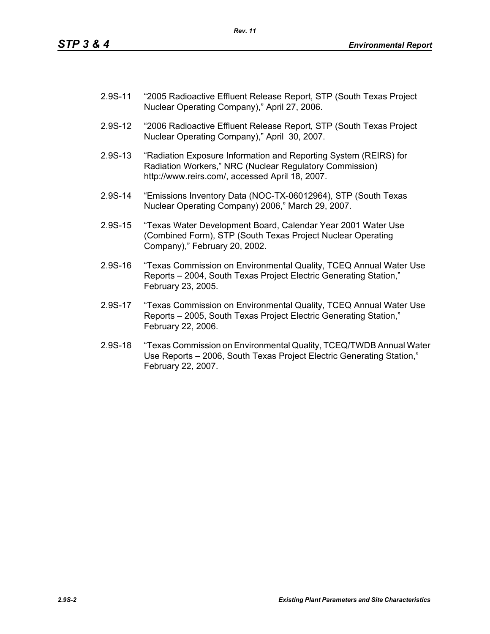- 2.9S-11 "2005 Radioactive Effluent Release Report, STP (South Texas Project Nuclear Operating Company)," April 27, 2006.
- 2.9S-12 "2006 Radioactive Effluent Release Report, STP (South Texas Project Nuclear Operating Company)," April 30, 2007.
- 2.9S-13 "Radiation Exposure Information and Reporting System (REIRS) for Radiation Workers," NRC (Nuclear Regulatory Commission) http://www.reirs.com/, accessed April 18, 2007.
- 2.9S-14 "Emissions Inventory Data (NOC-TX-06012964), STP (South Texas Nuclear Operating Company) 2006," March 29, 2007.
- 2.9S-15 "Texas Water Development Board, Calendar Year 2001 Water Use (Combined Form), STP (South Texas Project Nuclear Operating Company)," February 20, 2002.
- 2.9S-16 "Texas Commission on Environmental Quality, TCEQ Annual Water Use Reports – 2004, South Texas Project Electric Generating Station," February 23, 2005.
- 2.9S-17 "Texas Commission on Environmental Quality, TCEQ Annual Water Use Reports – 2005, South Texas Project Electric Generating Station," February 22, 2006.
- 2.9S-18 "Texas Commission on Environmental Quality, TCEQ/TWDB Annual Water Use Reports – 2006, South Texas Project Electric Generating Station," February 22, 2007.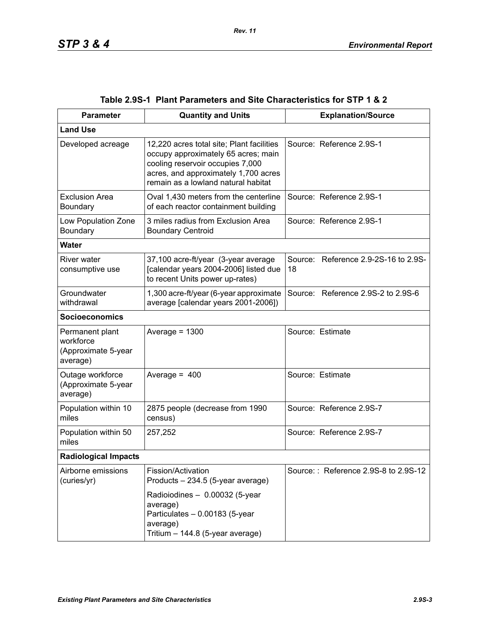| <b>Parameter</b>                                                | <b>Quantity and Units</b>                                                                                                                                                                           | <b>Explanation/Source</b>                  |
|-----------------------------------------------------------------|-----------------------------------------------------------------------------------------------------------------------------------------------------------------------------------------------------|--------------------------------------------|
| <b>Land Use</b>                                                 |                                                                                                                                                                                                     |                                            |
| Developed acreage                                               | 12,220 acres total site; Plant facilities<br>occupy approximately 65 acres; main<br>cooling reservoir occupies 7,000<br>acres, and approximately 1,700 acres<br>remain as a lowland natural habitat | Source: Reference 2.9S-1                   |
| <b>Exclusion Area</b><br>Boundary                               | Oval 1,430 meters from the centerline<br>of each reactor containment building                                                                                                                       | Source: Reference 2.9S-1                   |
| Low Population Zone<br>Boundary                                 | 3 miles radius from Exclusion Area<br><b>Boundary Centroid</b>                                                                                                                                      | Source: Reference 2.9S-1                   |
| <b>Water</b>                                                    |                                                                                                                                                                                                     |                                            |
| River water<br>consumptive use                                  | 37,100 acre-ft/year (3-year average<br>[calendar years 2004-2006] listed due<br>to recent Units power up-rates)                                                                                     | Source: Reference 2.9-2S-16 to 2.9S-<br>18 |
| Groundwater<br>withdrawal                                       | 1,300 acre-ft/year (6-year approximate<br>average [calendar years 2001-2006])                                                                                                                       | Source: Reference 2.9S-2 to 2.9S-6         |
| <b>Socioeconomics</b>                                           |                                                                                                                                                                                                     |                                            |
| Permanent plant<br>workforce<br>(Approximate 5-year<br>average) | Average = $1300$                                                                                                                                                                                    | Source: Estimate                           |
| Outage workforce<br>(Approximate 5-year<br>average)             | Average = $400$                                                                                                                                                                                     | Source: Estimate                           |
| Population within 10<br>miles                                   | 2875 people (decrease from 1990<br>census)                                                                                                                                                          | Source: Reference 2.9S-7                   |
| Population within 50<br>miles                                   | 257,252                                                                                                                                                                                             | Source: Reference 2.9S-7                   |
| <b>Radiological Impacts</b>                                     |                                                                                                                                                                                                     |                                            |
| Airborne emissions<br>(curies/yr)                               | Fission/Activation<br>Products - 234.5 (5-year average)                                                                                                                                             | Source:: Reference 2.9S-8 to 2.9S-12       |
|                                                                 | Radioiodines - 0.00032 (5-year<br>average)<br>Particulates - 0.00183 (5-year<br>average)<br>Tritium - 144.8 (5-year average)                                                                        |                                            |

|  | Table 2.9S-1   Plant Parameters and Site Characteristics for STP 1 & 2 |  |  |
|--|------------------------------------------------------------------------|--|--|
|--|------------------------------------------------------------------------|--|--|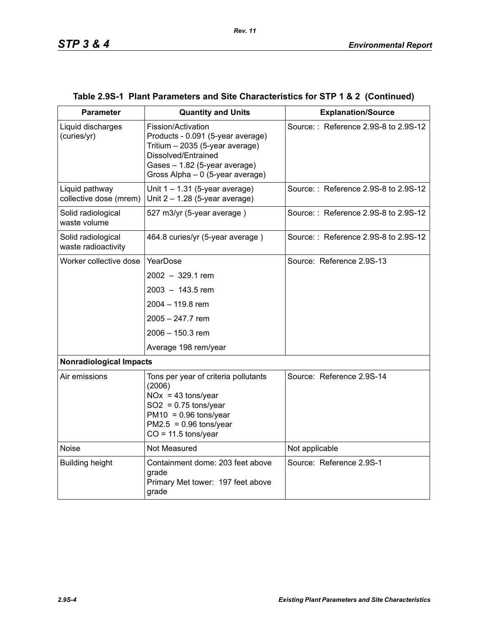| <b>Parameter</b>                          | <b>Quantity and Units</b>                                                                                                                                                              | <b>Explanation/Source</b>            |  |  |  |
|-------------------------------------------|----------------------------------------------------------------------------------------------------------------------------------------------------------------------------------------|--------------------------------------|--|--|--|
| Liquid discharges<br>(curies/yr)          | Fission/Activation<br>Products - 0.091 (5-year average)<br>Tritium - 2035 (5-year average)<br>Dissolved/Entrained<br>Gases - 1.82 (5-year average)<br>Gross Alpha - 0 (5-year average) | Source:: Reference 2.9S-8 to 2.9S-12 |  |  |  |
| Liquid pathway<br>collective dose (mrem)  | Unit $1 - 1.31$ (5-year average)<br>Unit $2 - 1.28$ (5-year average)                                                                                                                   | Source:: Reference 2.9S-8 to 2.9S-12 |  |  |  |
| Solid radiological<br>waste volume        | 527 m3/yr (5-year average)                                                                                                                                                             | Source:: Reference 2.9S-8 to 2.9S-12 |  |  |  |
| Solid radiological<br>waste radioactivity | 464.8 curies/yr (5-year average)                                                                                                                                                       | Source:: Reference 2.9S-8 to 2.9S-12 |  |  |  |
| Worker collective dose                    | YearDose                                                                                                                                                                               | Source: Reference 2.9S-13            |  |  |  |
|                                           | $2002 - 329.1$ rem                                                                                                                                                                     |                                      |  |  |  |
|                                           | $2003 - 143.5$ rem                                                                                                                                                                     |                                      |  |  |  |
|                                           | 2004 - 119.8 rem                                                                                                                                                                       |                                      |  |  |  |
|                                           | $2005 - 247.7$ rem                                                                                                                                                                     |                                      |  |  |  |
|                                           | 2006 - 150.3 rem                                                                                                                                                                       |                                      |  |  |  |
|                                           | Average 198 rem/year                                                                                                                                                                   |                                      |  |  |  |
| <b>Nonradiological Impacts</b>            |                                                                                                                                                                                        |                                      |  |  |  |
| Air emissions                             | Tons per year of criteria pollutants<br>(2006)<br>$NOx = 43$ tons/year<br>$SO2 = 0.75$ tons/year<br>$PM10 = 0.96$ tons/year<br>$PM2.5 = 0.96$ tons/year<br>$CO = 11.5$ tons/year       | Source: Reference 2.9S-14            |  |  |  |
| <b>Noise</b>                              | Not Measured                                                                                                                                                                           | Not applicable                       |  |  |  |
| <b>Building height</b>                    | Containment dome: 203 feet above<br>grade<br>Primary Met tower: 197 feet above<br>grade                                                                                                | Source: Reference 2.9S-1             |  |  |  |

## **Table 2.9S-1 Plant Parameters and Site Characteristics for STP 1 & 2 (Continued)**